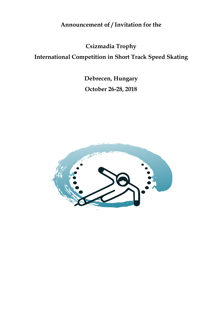**Announcement of / Invitation for the**

**Csizmadia Trophy**

**International Competition in Short Track Speed Skating**

**Debrecen, Hungary October 26-28, 2018**

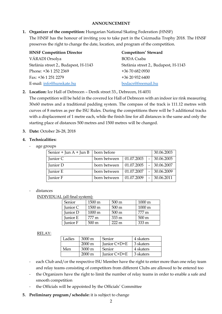### **ANNOUNCEMENT**

### **1. Organizer of the competition:** Hungarian National Skating Federation (HNSF)

The HNSF has the honour of inviting you to take part in the Csizmadia Trophy 2018. The HNSF preserves the right to change the date, location, and program of the competition.

| <b>HNSF Competition Director</b>     | Competitors' Steward                 |
|--------------------------------------|--------------------------------------|
| VÁRADI Orsolya                       | <b>BODA</b> Csaba                    |
| Stefánia street 2., Budapest, H-1143 | Stefánia street 2., Budapest, H-1143 |
| Phone: +36 1 252 2369                | +36 70 682 0930                      |
| Fax: +36 1 251 2279                  | +36 20 932 6400                      |
| E-mail: info@hunskate.hu             | bodacs@freemail.hu                   |

# **2. Location:** Ice Hall of Debrecen – Derék street 33., Debrecen, H-4031

The competition will be held in the covered Ice Hall of Debrecen with an indoor ice rink measuring 30x60 metres and a traditional padding system. The compass of the track is 111.12 metres with curves of 8 metres as per the ISU Rules. During the competitions there will be 5 additional tracks with a displacement of 1 metre each, while the finish line for all distances is the same and only the starting place of distances 500 metres and 1500 metres will be changed.

# **3. Date:** October 26-28, 2018

# **4. Technicalities:**

age groups

| Senior + Jun $A$ + Jun B | born before  |            |  | 30.06.2003 |
|--------------------------|--------------|------------|--|------------|
| Junior C                 | born between | 01.07.2003 |  | 30.06.2005 |
| Junior D                 | born between | 01.07.2005 |  | 30.06.2007 |
| Junior E                 | born between | 01.07.2007 |  | 30.06.2009 |
| Junior F                 | born between | 01.07.2009 |  | 30.06.2011 |

#### - distances

INDIVIDUAL (all final system):

| Senior   | 1500 m          | $500 \,\mathrm{m}$ | $1000 \text{ m}$ |
|----------|-----------------|--------------------|------------------|
| Junior C | 1500 m          | $500 \text{ m}$    | $1000 \text{ m}$ |
| Junior D | 1000 m          | $500 \text{ m}$    | 777 m            |
| Junior E | 777 m           | 333 m              | $500 \text{ m}$  |
| Junior F | $500 \text{ m}$ | $222 \text{ m}$    | $333 \text{ m}$  |

#### RELAY:

| Ladies | $3000 \,\mathrm{m}$ | Senior        | 4 skaters |
|--------|---------------------|---------------|-----------|
|        | $2000 \text{ m}$    | Junior C+D+E  | 3 skaters |
| Men    | $3000 \,\mathrm{m}$ | <b>Senior</b> | 4 skaters |
|        | $2000 \text{ m}$    | Junior C+D+E  | 3 skaters |

- each Club and/or the respective ISU Member have the right to enter more than one relay team and relay teams consisting of competitors from different Clubs are allowed to be entered too
- the Organizers have the right to limit the number of relay teams in order to enable a safe and smooth competition
- the Officials will be appointed by the Officials' Committee
- **5. Preliminary program / schedule:** it is subject to change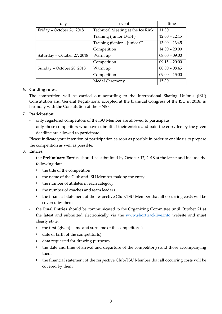| day                         | event                             | time            |
|-----------------------------|-----------------------------------|-----------------|
| Friday - October 26, 2018   | Technical Meeting at the Ice Rink | 11:30           |
|                             | Training (Junior D-E-F)           | $12:00 - 12:45$ |
|                             | Training (Senior - Junior C)      | $13:00 - 13:45$ |
|                             | Competition                       | $14:00 - 20:00$ |
| Saturday - October 27, 2018 | Warm up                           | $08:00 - 09:00$ |
|                             | Competition                       | $09:15 - 20:00$ |
| Sunday - October 28, 2018   | Warm up                           | $08:00 - 08:45$ |
|                             | Competition                       | $09:00 - 15:00$ |
|                             | Medal Ceremony                    | 15:30           |

### **6. Guiding rules:**

The competition will be carried out according to the International Skating Union's (ISU) Constitution and General Regulations, accepted at the biannual Congress of the ISU in 2018, in harmony with the Constitution of the HNSF.

# **7. Participation:**

- only registered competitors of the ISU Member are allowed to participate
- only those competitors who have submitted their entries and paid the entry fee by the given deadline are allowed to participate

Please indicate your intention of participation as soon as possible in order to enable us to prepare the competition as well as possible.

#### **8. Entries:**

- the **Preliminary Entries** should be submitted by October 17, 2018 at the latest and include the following data:
	- \* the title of the competition
	- \* the name of the Club and ISU Member making the entry
	- \* the number of athletes in each category
	- \* the number of coaches and team leaders
	- \* the financial statement of the respective Club/ISU Member that all occurring costs will be covered by them
- the **Final Entries** should be communicated to the Organizing Committee until October 21 at the latest and submitted electronically via the www.shorttracklive.info website and must clearly state:
	- the first (given) name and surname of the competitor $(s)$
	- date of birth of the competitor $(s)$
	- data requested for drawing purposes
	- \* the date and time of arrival and departure of the competitor(s) and those accompanying them
	- \* the financial statement of the respective Club/ISU Member that all occurring costs will be covered by them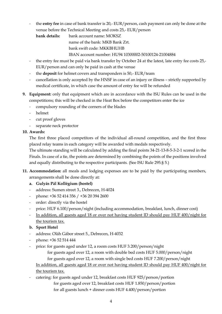- the **entry fee** in case of bank transfer is 20,- EUR/person, cash payment can only be done at the venue before the Technical Meeting and costs 25,- EUR/person

**bank details:** bank account name: MOKSZ name of the bank: MKB Bank Zrt.

bank swift code: MKKBHUHB

IBAN account number: HU94 10300002-50100124-21004884

- the entry fee must be paid via bank transfer by October 24 at the latest, late entry fee costs 25,-EUR/person and can only be paid in cash at the venue
- the **deposit** for helmet covers and transponders is 50,- EUR/team
- cancellation is only accepted by the HNSF in case of an injury or illness strictly supported by medical certificate, in which case the amount of entry fee will be refunded
- **9. Equipment:** only that equipment which are in accordance with the ISU Rules can be used in the competitions; this will be checked in the Heat Box before the competitors enter the ice
	- compulsory rounding of the corners of the blades
	- helmet
	- cut proof gloves
	- separate neck protector

# **10. Awards:**

The first three placed competitors of the individual all-round competition, and the first three placed relay teams in each category will be awarded with medals respectively.

The ultimate standing will be calculated by adding the final points 34-21-13-8-5-3-2-1 scored in the Finals. In case of a tie, the points are determined by combining the points of the positions involved and equally distributing to the respective participants. (See ISU Rule 295.§ 5.)

- **11. Accommodation:** all meals and lodging expenses are to be paid by the participating members, arrangements shall be done directly at:
	- **a. Gulyás Pál Kollégium (hostel)**
	- address: Sumen street 3., Debrecen, H-4024
	- phone: +36 52 414 356 / +36 20 394 2600
	- order: directly via the hostel
	- price: HUF 6.100/person/night (including accommodation, breakfast, lunch, dinner cost)
	- In addition, all guests aged 18 or over not having student ID should pay HUF 400/night for the tourism tax.

# **b. Sport Hotel**

- address: Oláh Gábor street 5., Debrecen, H-4032
- phone: +36 52 514 444
- price: for guests aged under 12, a room costs HUF 3.200/person/night for guests aged over 12, a room with double bed costs HUF 5.000/person/night for guests aged over 12, a room with single bed costs HUF 7.200/person/night In addition, all guests aged 18 or over not having student ID should pay HUF 400/night for the tourism tax.
- catering: for guests aged under 12, breakfast costs HUF 925/person/portion for guests aged over 12, breakfast costs HUF 1.850/person/portion for all guests lunch + dinner costs HUF 4.400/person/portion